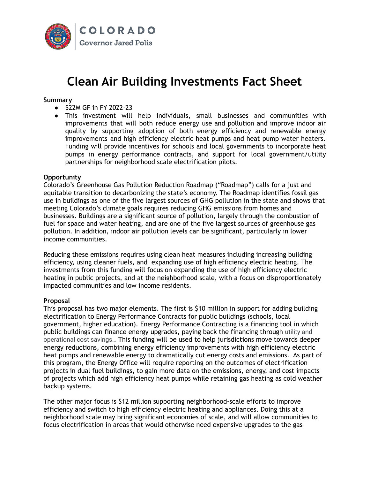

## **Clean Air Building Investments Fact Sheet**

## **Summary**

- \$22M GF in FY 2022-23
- This investment will help individuals, small businesses and communities with improvements that will both reduce energy use and pollution and improve indoor air quality by supporting adoption of both energy efficiency and renewable energy improvements and high efficiency electric heat pumps and heat pump water heaters. Funding will provide incentives for schools and local governments to incorporate heat pumps in energy performance contracts, and support for local government/utility partnerships for neighborhood scale electrification pilots.

## **Opportunity**

Colorado's Greenhouse Gas Pollution Reduction Roadmap ("Roadmap") calls for a just and equitable transition to decarbonizing the state's economy. The Roadmap identifies fossil gas use in buildings as one of the five largest sources of GHG pollution in the state and shows that meeting Colorado's climate goals requires reducing GHG emissions from homes and businesses. Buildings are a significant source of pollution, largely through the combustion of fuel for space and water heating, and are one of the five largest sources of greenhouse gas pollution. In addition, indoor air pollution levels can be significant, particularly in lower income communities.

Reducing these emissions requires using clean heat measures including increasing building efficiency, using cleaner fuels, and expanding use of high efficiency electric heating. The investments from this funding will focus on expanding the use of high efficiency electric heating in public projects, and at the neighborhood scale, with a focus on disproportionately impacted communities and low income residents.

## **Proposal**

This proposal has two major elements. The first is \$10 million in support for adding building electrification to Energy Performance Contracts for public buildings (schools, local government, higher education). Energy Performance Contracting is a financing tool in which public buildings can finance energy upgrades, paying back the financing through utility and operational cost savings.. This funding will be used to help jurisdictions move towards deeper energy reductions, combining energy efficiency improvements with high efficiency electric heat pumps and renewable energy to dramatically cut energy costs and emissions. As part of this program, the Energy Office will require reporting on the outcomes of electrification projects in dual fuel buildings, to gain more data on the emissions, energy, and cost impacts of projects which add high efficiency heat pumps while retaining gas heating as cold weather backup systems.

The other major focus is \$12 million supporting neighborhood-scale efforts to improve efficiency and switch to high efficiency electric heating and appliances. Doing this at a neighborhood scale may bring significant economies of scale, and will allow communities to focus electrification in areas that would otherwise need expensive upgrades to the gas